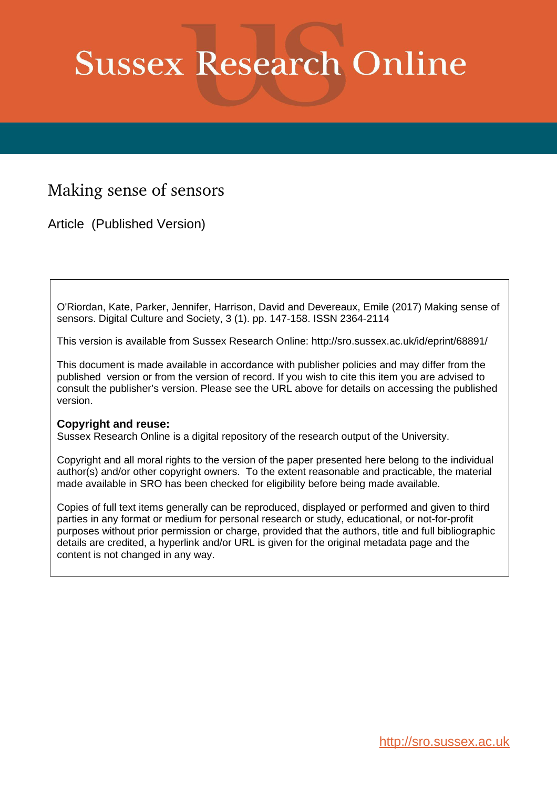# **Sussex Research Online**

## Making sense of sensors

Article (Published Version)

O'Riordan, Kate, Parker, Jennifer, Harrison, David and Devereaux, Emile (2017) Making sense of sensors. Digital Culture and Society, 3 (1). pp. 147-158. ISSN 2364-2114

This version is available from Sussex Research Online: http://sro.sussex.ac.uk/id/eprint/68891/

This document is made available in accordance with publisher policies and may differ from the published version or from the version of record. If you wish to cite this item you are advised to consult the publisher's version. Please see the URL above for details on accessing the published version.

#### **Copyright and reuse:**

Sussex Research Online is a digital repository of the research output of the University.

Copyright and all moral rights to the version of the paper presented here belong to the individual author(s) and/or other copyright owners. To the extent reasonable and practicable, the material made available in SRO has been checked for eligibility before being made available.

Copies of full text items generally can be reproduced, displayed or performed and given to third parties in any format or medium for personal research or study, educational, or not-for-profit purposes without prior permission or charge, provided that the authors, title and full bibliographic details are credited, a hyperlink and/or URL is given for the original metadata page and the content is not changed in any way.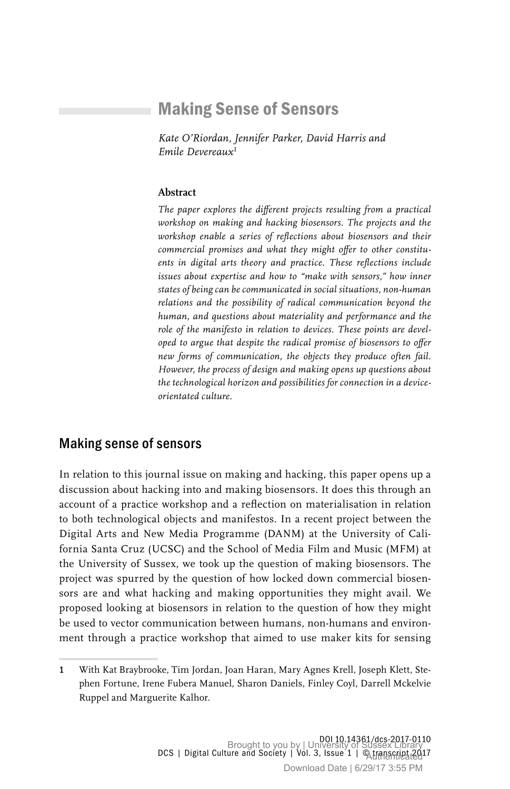### Making Sense of Sensors

*Kate O'Riordan, Jennifer Parker, David Harris and Emile Devereaux*<sup>1</sup>

#### **Abstract**

*The paper explores the different projects resulting from a practical workshop on making and hacking biosensors. The projects and the workshop enable a series of reflections about biosensors and their commercial promises and what they might offer to other constituents in digital arts theory and practice. These reflections include issues about expertise and how to "make with sensors," how inner states of being can be communicated in social situations, non-human relations and the possibility of radical communication beyond the human, and questions about materiality and performance and the role of the manifesto in relation to devices. These points are developed to argue that despite the radical promise of biosensors to offer new forms of communication, the objects they produce often fail. However, the process of design and making opens up questions about the technological horizon and possibilities for connection in a deviceorientated culture.*

#### Making sense of sensors

In relation to this journal issue on making and hacking, this paper opens up a discussion about hacking into and making biosensors. It does this through an account of a practice workshop and a reflection on materialisation in relation to both technological objects and manifestos. In a recent project between the Digital Arts and New Media Programme (DANM) at the University of California Santa Cruz (UCSC) and the School of Media Film and Music (MFM) at the University of Sussex, we took up the question of making biosensors. The project was spurred by the question of how locked down commercial biosensors are and what hacking and making opportunities they might avail. We proposed looking at biosensors in relation to the question of how they might be used to vector communication between humans, non-humans and environment through a practice workshop that aimed to use maker kits for sensing

<sup>1</sup> With Kat Braybrooke, Tim Jordan, Joan Haran, Mary Agnes Krell, Joseph Klett, Stephen Fortune, Irene Fubera Manuel, Sharon Daniels, Finley Coyl, Darrell Mckelvie Ruppel and Marguerite Kalhor.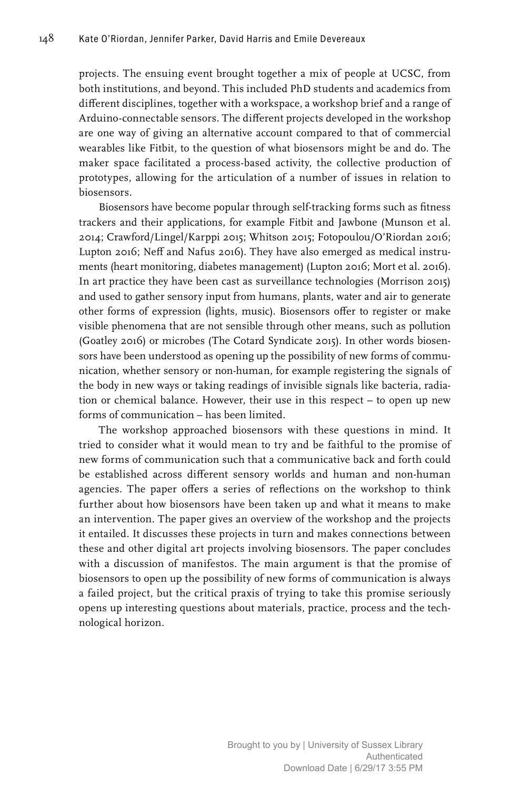projects. The ensuing event brought together a mix of people at UCSC, from both institutions, and beyond. This included PhD students and academics from different disciplines, together with a workspace, a workshop brief and a range of Arduino-connectable sensors. The different projects developed in the workshop are one way of giving an alternative account compared to that of commercial wearables like Fitbit, to the question of what biosensors might be and do. The maker space facilitated a process-based activity, the collective production of prototypes, allowing for the articulation of a number of issues in relation to biosensors.

Biosensors have become popular through self-tracking forms such as fitness trackers and their applications, for example Fitbit and Jawbone (Munson et al. 2014; Crawford/Lingel/Karppi 2015; Whitson 2015; Fotopoulou/O'Riordan 2016; Lupton 2016; Neff and Nafus 2016). They have also emerged as medical instruments (heart monitoring, diabetes management) (Lupton 2016; Mort et al. 2016). In art practice they have been cast as surveillance technologies (Morrison 2015) and used to gather sensory input from humans, plants, water and air to generate other forms of expression (lights, music). Biosensors offer to register or make visible phenomena that are not sensible through other means, such as pollution (Goatley 2016) or microbes (The Cotard Syndicate 2015). In other words biosensors have been understood as opening up the possibility of new forms of communication, whether sensory or non-human, for example registering the signals of the body in new ways or taking readings of invisible signals like bacteria, radiation or chemical balance. However, their use in this respect – to open up new forms of communication – has been limited.

The workshop approached biosensors with these questions in mind. It tried to consider what it would mean to try and be faithful to the promise of new forms of communication such that a communicative back and forth could be established across different sensory worlds and human and non-human agencies. The paper offers a series of reflections on the workshop to think further about how biosensors have been taken up and what it means to make an intervention. The paper gives an overview of the workshop and the projects it entailed. It discusses these projects in turn and makes connections between these and other digital art projects involving biosensors. The paper concludes with a discussion of manifestos. The main argument is that the promise of biosensors to open up the possibility of new forms of communication is always a failed project, but the critical praxis of trying to take this promise seriously opens up interesting questions about materials, practice, process and the technological horizon.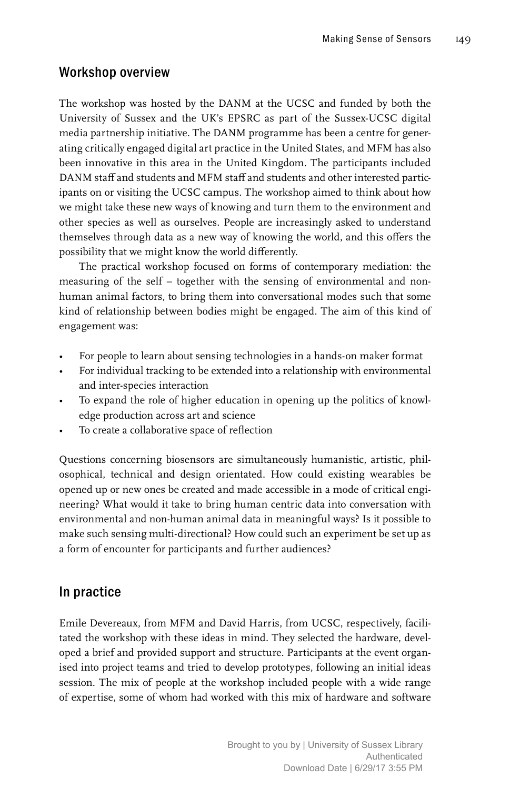#### Workshop overview

The workshop was hosted by the DANM at the UCSC and funded by both the University of Sussex and the UK's EPSRC as part of the Sussex-UCSC digital media partnership initiative. The DANM programme has been a centre for generating critically engaged digital art practice in the United States, and MFM has also been innovative in this area in the United Kingdom. The participants included DANM staff and students and MFM staff and students and other interested participants on or visiting the UCSC campus. The workshop aimed to think about how we might take these new ways of knowing and turn them to the environment and other species as well as ourselves. People are increasingly asked to understand themselves through data as a new way of knowing the world, and this offers the possibility that we might know the world differently.

The practical workshop focused on forms of contemporary mediation: the measuring of the self – together with the sensing of environmental and nonhuman animal factors, to bring them into conversational modes such that some kind of relationship between bodies might be engaged. The aim of this kind of engagement was:

- For people to learn about sensing technologies in a hands-on maker format
- For individual tracking to be extended into a relationship with environmental and inter-species interaction
- To expand the role of higher education in opening up the politics of knowledge production across art and science
- To create a collaborative space of reflection

Questions concerning biosensors are simultaneously humanistic, artistic, philosophical, technical and design orientated. How could existing wearables be opened up or new ones be created and made accessible in a mode of critical engineering? What would it take to bring human centric data into conversation with environmental and non-human animal data in meaningful ways? Is it possible to make such sensing multi-directional? How could such an experiment be set up as a form of encounter for participants and further audiences?

#### In practice

Emile Devereaux, from MFM and David Harris, from UCSC, respectively, facilitated the workshop with these ideas in mind. They selected the hardware, developed a brief and provided support and structure. Participants at the event organised into project teams and tried to develop prototypes, following an initial ideas session. The mix of people at the workshop included people with a wide range of expertise, some of whom had worked with this mix of hardware and software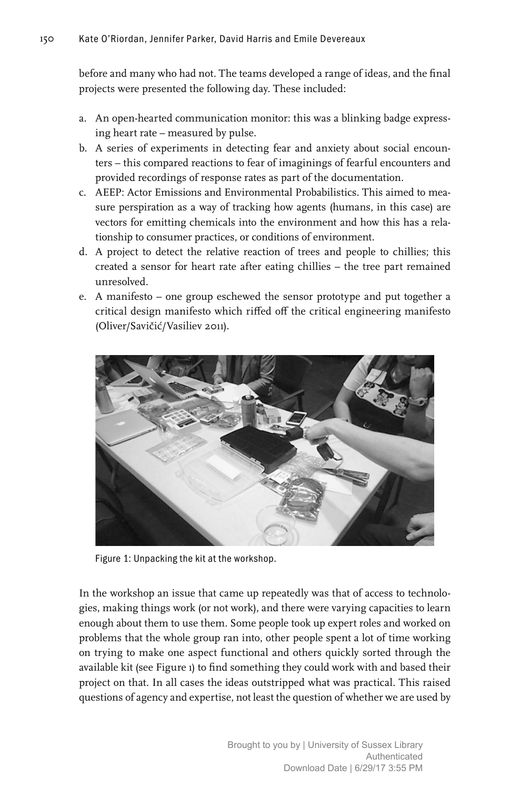before and many who had not. The teams developed a range of ideas, and the final projects were presented the following day. These included:

- a. An open-hearted communication monitor: this was a blinking badge expressing heart rate – measured by pulse.
- b. A series of experiments in detecting fear and anxiety about social encounters – this compared reactions to fear of imaginings of fearful encounters and provided recordings of response rates as part of the documentation.
- c. AEEP: Actor Emissions and Environmental Probabilistics. This aimed to measure perspiration as a way of tracking how agents (humans, in this case) are vectors for emitting chemicals into the environment and how this has a relationship to consumer practices, or conditions of environment.
- d. A project to detect the relative reaction of trees and people to chillies; this created a sensor for heart rate after eating chillies – the tree part remained unresolved.
- e. A manifesto one group eschewed the sensor prototype and put together a critical design manifesto which riffed off the critical engineering manifesto (Oliver/Savičić/Vasiliev 2011).



Figure 1: Unpacking the kit at the workshop.

In the workshop an issue that came up repeatedly was that of access to technologies, making things work (or not work), and there were varying capacities to learn enough about them to use them. Some people took up expert roles and worked on problems that the whole group ran into, other people spent a lot of time working on trying to make one aspect functional and others quickly sorted through the available kit (see Figure 1) to find something they could work with and based their project on that. In all cases the ideas outstripped what was practical. This raised questions of agency and expertise, not least the question of whether we are used by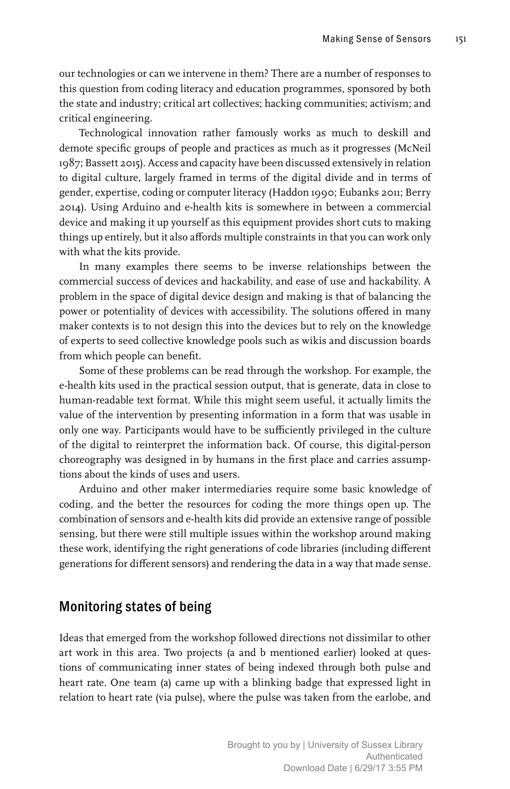our technologies or can we intervene in them? There are a number of responses to this question from coding literacy and education programmes, sponsored by both the state and industry; critical art collectives; hacking communities; activism; and critical engineering.

Technological innovation rather famously works as much to deskill and demote specific groups of people and practices as much as it progresses (McNeil 1987; Bassett 2015). Access and capacity have been discussed extensively in relation to digital culture, largely framed in terms of the digital divide and in terms of gender, expertise, coding or computer literacy (Haddon 1990; Eubanks 2011; Berry 2014). Using Arduino and e-health kits is somewhere in between a commercial device and making it up yourself as this equipment provides short cuts to making things up entirely, but it also affords multiple constraints in that you can work only with what the kits provide.

In many examples there seems to be inverse relationships between the commercial success of devices and hackability, and ease of use and hackability. A problem in the space of digital device design and making is that of balancing the power or potentiality of devices with accessibility. The solutions offered in many maker contexts is to not design this into the devices but to rely on the knowledge of experts to seed collective knowledge pools such as wikis and discussion boards from which people can benefit.

Some of these problems can be read through the workshop. For example, the e-health kits used in the practical session output, that is generate, data in close to human-readable text format. While this might seem useful, it actually limits the value of the intervention by presenting information in a form that was usable in only one way. Participants would have to be sufficiently privileged in the culture of the digital to reinterpret the information back. Of course, this digital-person choreography was designed in by humans in the first place and carries assumptions about the kinds of uses and users.

Arduino and other maker intermediaries require some basic knowledge of coding, and the better the resources for coding the more things open up. The combination of sensors and e-health kits did provide an extensive range of possible sensing, but there were still multiple issues within the workshop around making these work, identifying the right generations of code libraries (including different generations for different sensors) and rendering the data in a way that made sense.

#### Monitoring states of being

Ideas that emerged from the workshop followed directions not dissimilar to other art work in this area. Two projects (a and b mentioned earlier) looked at questions of communicating inner states of being indexed through both pulse and heart rate. One team (a) came up with a blinking badge that expressed light in relation to heart rate (via pulse), where the pulse was taken from the earlobe, and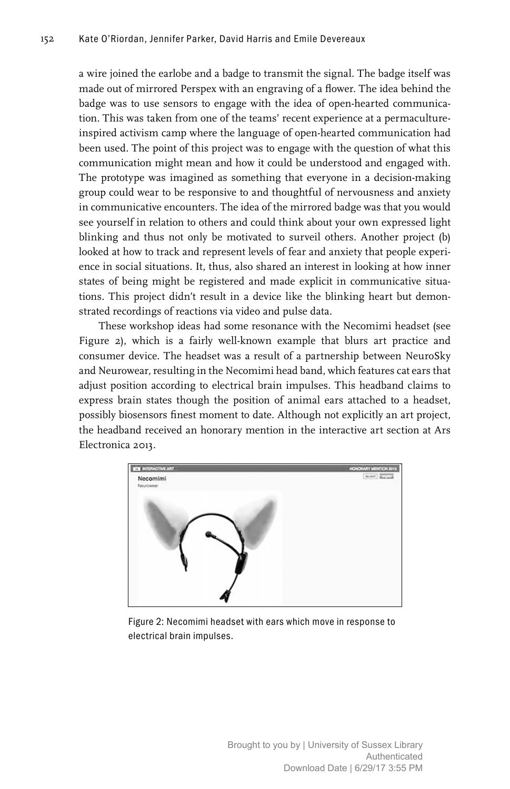a wire joined the earlobe and a badge to transmit the signal. The badge itself was made out of mirrored Perspex with an engraving of a flower. The idea behind the badge was to use sensors to engage with the idea of open-hearted communication. This was taken from one of the teams' recent experience at a permacultureinspired activism camp where the language of open-hearted communication had been used. The point of this project was to engage with the question of what this communication might mean and how it could be understood and engaged with. The prototype was imagined as something that everyone in a decision-making group could wear to be responsive to and thoughtful of nervousness and anxiety in communicative encounters. The idea of the mirrored badge was that you would see yourself in relation to others and could think about your own expressed light blinking and thus not only be motivated to surveil others. Another project (b) looked at how to track and represent levels of fear and anxiety that people experience in social situations. It, thus, also shared an interest in looking at how inner states of being might be registered and made explicit in communicative situations. This project didn't result in a device like the blinking heart but demonstrated recordings of reactions via video and pulse data.

These workshop ideas had some resonance with the Necomimi headset (see Figure 2), which is a fairly well-known example that blurs art practice and consumer device. The headset was a result of a partnership between NeuroSky and Neurowear, resulting in the Necomimi head band, which features cat ears that adjust position according to electrical brain impulses. This headband claims to express brain states though the position of animal ears attached to a headset, possibly biosensors finest moment to date. Although not explicitly an art project, the headband received an honorary mention in the interactive art section at Ars Electronica 2013.



Figure 2: Necomimi headset with ears which move in response to electrical brain impulses.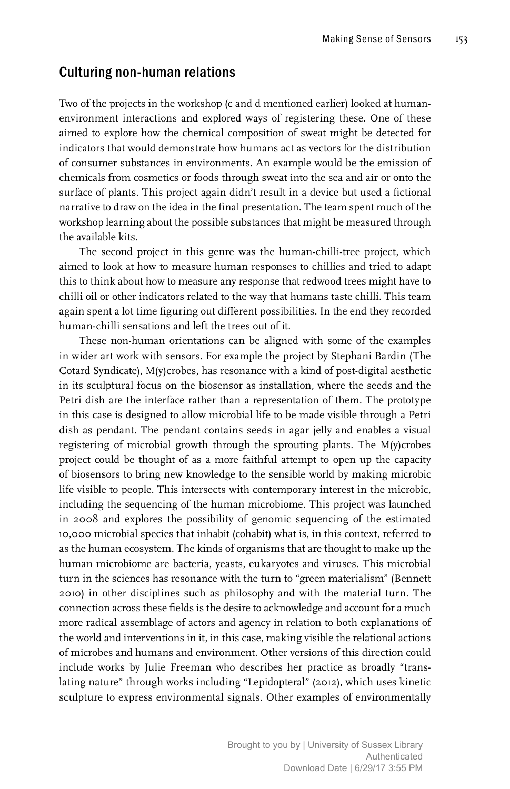#### Culturing non-human relations

Two of the projects in the workshop (c and d mentioned earlier) looked at humanenvironment interactions and explored ways of registering these. One of these aimed to explore how the chemical composition of sweat might be detected for indicators that would demonstrate how humans act as vectors for the distribution of consumer substances in environments. An example would be the emission of chemicals from cosmetics or foods through sweat into the sea and air or onto the surface of plants. This project again didn't result in a device but used a fictional narrative to draw on the idea in the final presentation. The team spent much of the workshop learning about the possible substances that might be measured through the available kits.

The second project in this genre was the human-chilli-tree project, which aimed to look at how to measure human responses to chillies and tried to adapt this to think about how to measure any response that redwood trees might have to chilli oil or other indicators related to the way that humans taste chilli. This team again spent a lot time figuring out different possibilities. In the end they recorded human-chilli sensations and left the trees out of it.

These non-human orientations can be aligned with some of the examples in wider art work with sensors. For example the project by Stephani Bardin (The Cotard Syndicate), M(y)crobes, has resonance with a kind of post-digital aesthetic in its sculptural focus on the biosensor as installation, where the seeds and the Petri dish are the interface rather than a representation of them. The prototype in this case is designed to allow microbial life to be made visible through a Petri dish as pendant. The pendant contains seeds in agar jelly and enables a visual registering of microbial growth through the sprouting plants. The M(y)crobes project could be thought of as a more faithful attempt to open up the capacity of biosensors to bring new knowledge to the sensible world by making microbic life visible to people. This intersects with contemporary interest in the microbic, including the sequencing of the human microbiome. This project was launched in 2008 and explores the possibility of genomic sequencing of the estimated 10,000 microbial species that inhabit (cohabit) what is, in this context, referred to as the human ecosystem. The kinds of organisms that are thought to make up the human microbiome are bacteria, yeasts, eukaryotes and viruses. This microbial turn in the sciences has resonance with the turn to "green materialism" (Bennett 2010) in other disciplines such as philosophy and with the material turn. The connection across these fields is the desire to acknowledge and account for a much more radical assemblage of actors and agency in relation to both explanations of the world and interventions in it, in this case, making visible the relational actions of microbes and humans and environment. Other versions of this direction could include works by Julie Freeman who describes her practice as broadly "translating nature" through works including "Lepidopteral" (2012), which uses kinetic sculpture to express environmental signals. Other examples of environmentally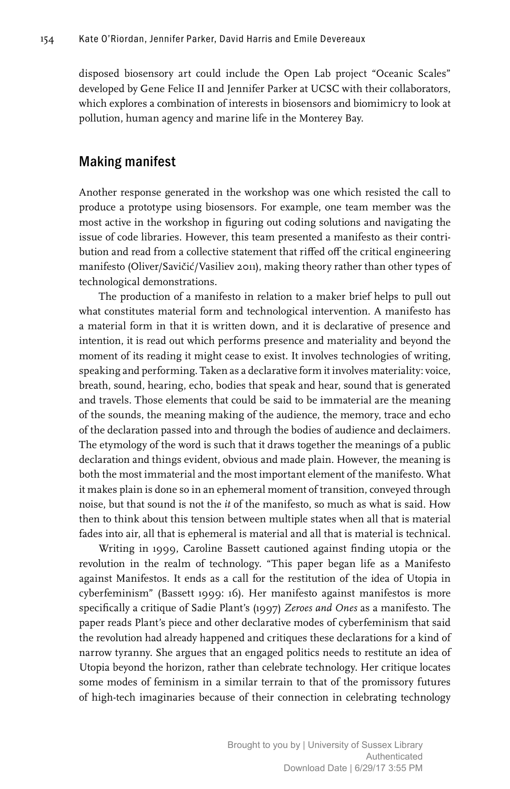disposed biosensory art could include the Open Lab project "Oceanic Scales" developed by Gene Felice II and Jennifer Parker at UCSC with their collaborators, which explores a combination of interests in biosensors and biomimicry to look at pollution, human agency and marine life in the Monterey Bay.

#### Making manifest

Another response generated in the workshop was one which resisted the call to produce a prototype using biosensors. For example, one team member was the most active in the workshop in figuring out coding solutions and navigating the issue of code libraries. However, this team presented a manifesto as their contribution and read from a collective statement that riffed off the critical engineering manifesto (Oliver/Savičić/Vasiliev 2011), making theory rather than other types of technological demonstrations.

The production of a manifesto in relation to a maker brief helps to pull out what constitutes material form and technological intervention. A manifesto has a material form in that it is written down, and it is declarative of presence and intention, it is read out which performs presence and materiality and beyond the moment of its reading it might cease to exist. It involves technologies of writing, speaking and performing. Taken as a declarative form it involves materiality: voice, breath, sound, hearing, echo, bodies that speak and hear, sound that is generated and travels. Those elements that could be said to be immaterial are the meaning of the sounds, the meaning making of the audience, the memory, trace and echo of the declaration passed into and through the bodies of audience and declaimers. The etymology of the word is such that it draws together the meanings of a public declaration and things evident, obvious and made plain. However, the meaning is both the most immaterial and the most important element of the manifesto. What it makes plain is done so in an ephemeral moment of transition, conveyed through noise, but that sound is not the *it* of the manifesto, so much as what is said. How then to think about this tension between multiple states when all that is material fades into air, all that is ephemeral is material and all that is material is technical.

Writing in 1999, Caroline Bassett cautioned against finding utopia or the revolution in the realm of technology. "This paper began life as a Manifesto against Manifestos. It ends as a call for the restitution of the idea of Utopia in cyberfeminism" (Bassett 1999: 16). Her manifesto against manifestos is more specifically a critique of Sadie Plant's (1997) *Zeroes and Ones* as a manifesto. The paper reads Plant's piece and other declarative modes of cyberfeminism that said the revolution had already happened and critiques these declarations for a kind of narrow tyranny. She argues that an engaged politics needs to restitute an idea of Utopia beyond the horizon, rather than celebrate technology. Her critique locates some modes of feminism in a similar terrain to that of the promissory futures of high-tech imaginaries because of their connection in celebrating technology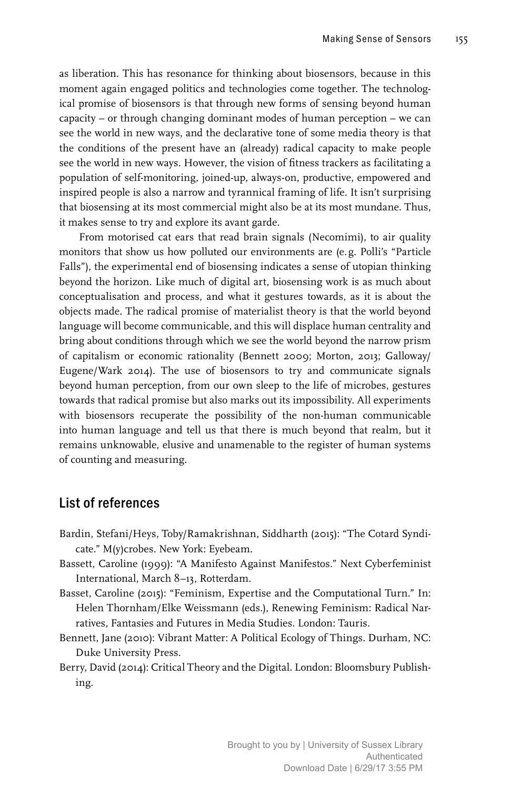as liberation. This has resonance for thinking about biosensors, because in this moment again engaged politics and technologies come together. The technological promise of biosensors is that through new forms of sensing beyond human capacity – or through changing dominant modes of human perception – we can see the world in new ways, and the declarative tone of some media theory is that the conditions of the present have an (already) radical capacity to make people see the world in new ways. However, the vision of fitness trackers as facilitating a population of self-monitoring, joined-up, always-on, productive, empowered and inspired people is also a narrow and tyrannical framing of life. It isn't surprising that biosensing at its most commercial might also be at its most mundane. Thus, it makes sense to try and explore its avant garde.

From motorised cat ears that read brain signals (Necomimi), to air quality monitors that show us how polluted our environments are (e. g. Polli's "Particle Falls"), the experimental end of biosensing indicates a sense of utopian thinking beyond the horizon. Like much of digital art, biosensing work is as much about conceptualisation and process, and what it gestures towards, as it is about the objects made. The radical promise of materialist theory is that the world beyond language will become communicable, and this will displace human centrality and bring about conditions through which we see the world beyond the narrow prism of capitalism or economic rationality (Bennett 2009; Morton, 2013; Galloway/ Eugene/Wark 2014). The use of biosensors to try and communicate signals beyond human perception, from our own sleep to the life of microbes, gestures towards that radical promise but also marks out its impossibility. All experiments with biosensors recuperate the possibility of the non-human communicable into human language and tell us that there is much beyond that realm, but it remains unknowable, elusive and unamenable to the register of human systems of counting and measuring.

#### List of references

- Bardin, Stefani/Heys, Toby/Ramakrishnan, Siddharth (2015): "The Cotard Syndicate." M(y)crobes. New York: Eyebeam.
- Bassett, Caroline (1999): "A Manifesto Against Manifestos." Next Cyberfeminist International, March 8–13, Rotterdam.
- Basset, Caroline (2015): "Feminism, Expertise and the Computational Turn." In: Helen Thornham/Elke Weissmann (eds.), Renewing Feminism: Radical Narratives, Fantasies and Futures in Media Studies. London: Tauris.
- Bennett, Jane (2010): Vibrant Matter: A Political Ecology of Things. Durham, NC: Duke University Press.
- Berry, David (2014): Critical Theory and the Digital. London: Bloomsbury Publishing.